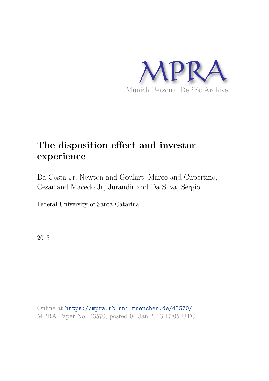

# **The disposition effect and investor experience**

Da Costa Jr, Newton and Goulart, Marco and Cupertino, Cesar and Macedo Jr, Jurandir and Da Silva, Sergio

Federal University of Santa Catarina

2013

Online at https://mpra.ub.uni-muenchen.de/43570/ MPRA Paper No. 43570, posted 04 Jan 2013 17:05 UTC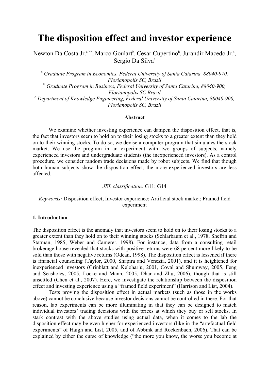## **The disposition effect and investor experience**

Newton Da Costa Jr.<sup>a,b\*</sup>, Marco Goulart<sup>b</sup>, Cesar Cupertino<sup>b</sup>, Jurandir Macedo Jr.<sup>c</sup>, Sergio Da Silva<sup>a</sup>

<sup>a</sup> Graduate Program in Economics, Federal University of Santa Catarina, 88040-970, *Florianopolis SC, Brazil*

b  *Graduate Program in Business, Federal University of Santa Catarina, 88040-900, Florianopolis SC Brazil* 

c  *Department of Knowledge Engineering, Federal University of Santa Catarina, 88040-900, Florianopolis SC, Brazil* 

#### **Abstract**

 We examine whether investing experience can dampen the disposition effect, that is, the fact that investors seem to hold on to their losing stocks to a greater extent than they hold on to their winning stocks. To do so, we devise a computer program that simulates the stock market. We use the program in an experiment with two groups of subjects, namely experienced investors and undergraduate students (the inexperienced investors). As a control procedure, we consider random trade decisions made by robot subjects. We find that though both human subjects show the disposition effect, the more experienced investors are less affected.

#### *JEL classification:* G11; G14

#### *Keywords:* Disposition effect; Investor experience; Artificial stock market; Framed field experiment

#### **1. Introduction**

The disposition effect is the anomaly that investors seem to hold on to their losing stocks to a greater extent than they hold on to their winning stocks (Schlarbaum et al., 1978, Shefrin and Statman, 1985, Weber and Camerer, 1998). For instance, data from a consulting retail brokerage house revealed that stocks with positive returns were 68 percent more likely to be sold than those with negative returns (Odean, 1998). The disposition effect is lessened if there is financial counseling (Taylor, 2000, Shapira and Venezia, 2001), and it is heightened for inexperienced investors (Grinblatt and Keloharju, 2001, Coval and Shumway, 2005, Feng and Seasholes, 2005, Locke and Mann, 2005, Dhar and Zhu, 2006), though that is still unsettled (Chen et al., 2007). Here, we investigate the relationship between the disposition effect and investing experience using a "framed field experiment" (Harrison and List, 2004).

Tests proving the disposition effect in actual markets (such as those in the works above) cannot be conclusive because investor decisions cannot be controlled in there. For that reason, lab experiments can be more illuminating in that they can be designed to match individual investors' trading decisions with the prices at which they buy or sell stocks. In stark contrast with the above studies using actual data, when it comes to the lab the disposition effect may be even higher for experienced investors (like in the "artefactual field experiments" of Haigh and List, 2005, and of Abbink and Rockenbach, 2006). That can be explained by either the curse of knowledge ("the more you know, the worse you become at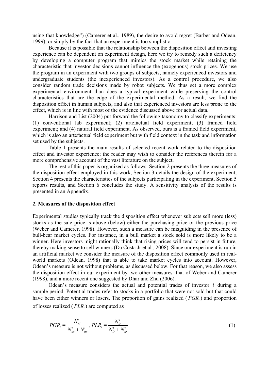using that knowledge") (Camerer et al., 1989), the desire to avoid regret (Barber and Odean, 1999), or simply by the fact that an experiment is too simplistic.

 Because it is possible that the relationship between the disposition effect and investing experience can be dependent on experiment design, here we try to remedy such a deficiency by developing a computer program that mimics the stock market while retaining the characteristic that investor decisions cannot influence the (exogenous) stock prices. We use the program in an experiment with two groups of subjects, namely experienced investors and undergraduate students (the inexperienced investors). As a control procedure, we also consider random trade decisions made by robot subjects. We thus set a more complex experimental environment than does a typical experiment while preserving the control characteristics that are the edge of the experimental method. As a result, we find the disposition effect in human subjects, and also that experienced investors are less prone to the effect, which is in line with most of the evidence discussed above for actual data.

 Harrison and List (2004) put forward the following taxonomy to classify experiments: (1) conventional lab experiment; (2) artefactual field experiment; (3) framed field experiment; and (4) natural field experiment. As observed, ours is a framed field experiment, which is also an artefactual field experiment but with field context in the task and information set used by the subjects.

 Table 1 presents the main results of selected recent work related to the disposition effect and investor experience; the reader may wish to consider the references therein for a more comprehensive account of the vast literature on the subject.

The rest of this paper is organized as follows. Section 2 presents the three measures of the disposition effect employed in this work, Section 3 details the design of the experiment, Section 4 presents the characteristics of the subjects participating in the experiment, Section 5 reports results, and Section 6 concludes the study. A sensitivity analysis of the results is presented in an Appendix.

#### **2. Measures of the disposition effect**

Experimental studies typically track the disposition effect whenever subjects sell more (less) stocks as the sale price is above (below) either the purchasing price or the previous price (Weber and Camerer, 1998). However, such a measure can be misguiding in the presence of bull-bear market cycles. For instance, in a bull market a stock sold is more likely to be a winner. Here investors might rationally think that rising prices will tend to persist in future, thereby making sense to sell winners (Da Costa Jr et al., 2008). Since our experiment is run in an artificial market we consider the measure of the disposition effect commonly used in realworld markets (Odean, 1998) that is able to take market cycles into account. However, Odean's measure is not without problems, as discussed below. For that reason, we also assess the disposition effect in our experiment by two other measures: that of Weber and Camerer (1998), and a more recent one suggested by Dhar and Zhu (2006).

Odean's measure considers the actual and potential trades of investor *i* during a sample period. Potential trades refer to stocks in a portfolio that were not sold but that could have been either winners or losers. The proportion of gains realized ( *PGR<sup>i</sup>* ) and proportion of losses realized ( *PLR<sup>i</sup>* ) are computed as

$$
PGR_i = \frac{N_{gr}^i}{N_{gr}^i + N_{gp}^i}, PLR_i = \frac{N_{lr}^i}{N_{lr}^i + N_{lp}^i}
$$
\n(1)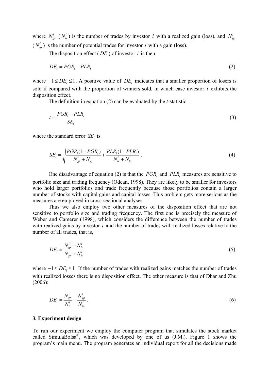where  $N_{gr}^{i}$  ( $N_{lr}^{i}$ ) is the number of trades by investor *i* with a realized gain (loss), and  $N_{gp}^{i}$  $(N^i_p)$  is the number of potential trades for investor *i* with a gain (loss).

The disposition effect  $(DE)$  of investor  $i$  is then

$$
DE_i = PGR_i - PLR_i \tag{2}
$$

where  $-1 \le DE_i \le 1$ . A positive value of  $DE_i$  indicates that a smaller proportion of losers is sold if compared with the proportion of winners sold, in which case investor *i* exhibits the disposition effect.

The definition in equation (2) can be evaluated by the *t*-statistic

$$
t = \frac{PGR_i - PLR_i}{SE_i} \tag{3}
$$

where the standard error  $SE_i$  is

$$
SE_{i} = \sqrt{\frac{PGR_{i}(1 - PGR_{i})}{N_{gr}^{i} + N_{gp}^{i}} + \frac{PLR_{i}(1 - PLR_{i})}{N_{lr}^{i} + N_{lp}^{i}}}.
$$
\n(4)

One disadvantage of equation (2) is that the  $PGR_i$  and  $PLR_i$  measures are sensitive to portfolio size and trading frequency (Odean, 1998). They are likely to be smaller for investors who hold larger portfolios and trade frequently because those portfolios contain a larger number of stocks with capital gains and capital losses. This problem gets more serious as the measures are employed in cross-sectional analyses.

Thus we also employ two other measures of the disposition effect that are not sensitive to portfolio size and trading frequency. The first one is precisely the measure of Weber and Camerer (1998), which considers the difference between the number of trades with realized gains by investor *i* and the number of trades with realized losses relative to the number of all trades, that is,

$$
DE_i = \frac{N_{gr}^i - N_{lr}^i}{N_{gr}^i + N_{lr}^i}
$$
 (5)

where  $-1 \le DE_i \le 1$ . If the number of trades with realized gains matches the number of trades with realized losses there is no disposition effect. The other measure is that of Dhar and Zhu (2006):

$$
DE_i = \frac{N_{gr}^i}{N_{lr}^i} - \frac{N_{gp}^i}{N_{lp}^i} \,. \tag{6}
$$

#### **3. Experiment design**

To run our experiment we employ the computer program that simulates the stock market called SimulaBolsa<sup>®</sup>, which was developed by one of us  $(J.M.)$ . Figure 1 shows the program's main menu. The program generates an individual report for all the decisions made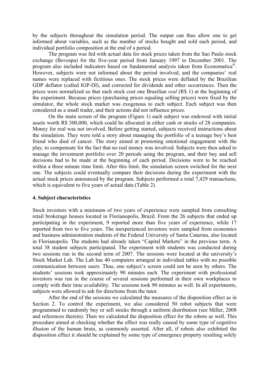by the subjects throughout the simulation period. The output can thus allow one to get informed about variables, such as the number of stocks bought and sold each period, and individual portfolio composition at the end of a period.

 The program was fed with actual data for stock prices taken from the Sao Paulo stock exchange (Bovespa) for the five-year period from January 1997 to December 2001. The program also included indicators based on fundamental analysis taken from Economatica<sup>®</sup>. However, subjects were not informed about the period involved, and the companies' real names were replaced with fictitious ones. The stock prices were deflated by the Brazilian GDP deflator (called IGP-DI), and corrected for dividends and other occurrences. Then the prices were normalized so that each stock cost one Brazilian *real* (R\$ 1) at the beginning of the experiment. Because prices (purchasing prices equaling selling prices) were fixed by the simulator, the whole stock market was exogenous to each subject. Each subject was then considered as a small trader, and their actions did not influence prices.

On the main screen of the program (Figure 1) each subject was endowed with initial assets worth R\$ 300,000, which could be allocated in either cash or stocks of 28 companies. Money for real was not involved. Before getting started, subjects received instructions about the simulation. They were told a story about managing the portfolio of a teenage boy's best friend who died of cancer. The story aimed at promoting emotional engagement with the play, to compensate for the fact that no real money was involved. Subjects were then asked to manage the investment portfolio over 20 periods using the program, and their buy and sell decisions had to be made at the beginning of each period. Decisions were to be reached within a three minute time limit. After this limit, the simulation screen switched for the next one. The subjects could eventually compare their decisions during the experiment with the actual stock prices announced by the program. Subjects performed a total 7,429 transactions, which is equivalent to five years of actual data (Table 2).

#### **4. Subject characteristics**

Stock investors with a minimum of two years of experience were sampled from consulting retail brokerage houses located in Florianopolis, Brazil. From the 26 subjects that ended up participating in the experiment, 9 reported more than five years of experience, while 17 reported from two to five years. The inexperienced investors were sampled from economics and business administration students of the Federal University of Santa Catarina, also located in Florianopolis. The students had already taken "Capital Markets" in the previous term. A total 38 student subjects participated. The experiment with students was conducted during two sessions run in the second term of 2007. The sessions were located at the university's Stock Market Lab. The Lab has 40 computers arranged in individual tables with no possible communication between users. Thus, one subject's screen could not be seen by others. The students' sessions took approximately 90 minutes each. The experiment with professional investors was run in the course of several sessions performed in their own workplaces to comply with their time availability. The sessions took 90 minutes as well. In all experiments, subjects were allowed to ask for directions from the tutor.

After the end of the sessions we calculated the measures of the disposition effect as in Section 2. To control the experiment, we also considered 50 robot subjects that were programmed to randomly buy or sell stocks through a uniform distribution (see Miller, 2008 and references therein). Then we calculated the disposition effect for the robots as well. This procedure aimed at checking whether the effect was really caused by some type of cognitive illusion of the human brain, as commonly asserted. After all, if robots also exhibited the disposition effect it should be explained by some type of emergence property resulting solely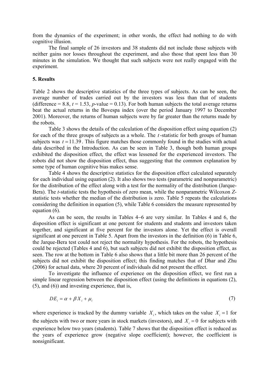from the dynamics of the experiment; in other words, the effect had nothing to do with cognitive illusion.

The final sample of 26 investors and 38 students did not include those subjects with neither gains nor losses throughout the experiment, and also those that spent less than 30 minutes in the simulation. We thought that such subjects were not really engaged with the experiment.

#### **5. Results**

Table 2 shows the descriptive statistics of the three types of subjects. As can be seen, the average number of trades carried out by the investors was less than that of students (difference  $= 8.8$ ,  $t = 1.53$ , *p*-value  $= 0.13$ ). For both human subjects the total average returns beat the actual returns in the Bovespa index (over the period January 1997 to December 2001). Moreover, the returns of human subjects were by far greater than the returns made by the robots.

Table 3 shows the details of the calculation of the disposition effect using equation (2) for each of the three groups of subjects as a whole. The *t*-statistic for both groups of human subjects was  $t = 11.39$ . This figure matches those commonly found in the studies with actual data described in the Introduction. As can be seen in Table 3, though both human groups exhibited the disposition effect, the effect was lessened for the experienced investors. The robots did not show the disposition effect, thus suggesting that the common explanation by some type of human cognitive bias makes sense.

Table 4 shows the descriptive statistics for the disposition effect calculated separately for each individual using equation (2). It also shows two tests (parametric and nonparametric) for the distribution of the effect along with a test for the normality of the distribution (Jarque-Bera). The *t*-statistic tests the hypothesis of zero mean, while the nonparametric Wilcoxon *Z*statistic tests whether the median of the distribution is zero. Table 5 repeats the calculations considering the definition in equation (5), while Table 6 considers the measure represented by equation (6).

 As can be seen, the results in Tables 4−6 are very similar. In Tables 4 and 6, the disposition effect is significant at one percent for students and students and investors taken together, and significant at five percent for the investors alone. Yet the effect is overall significant at one percent in Table 5. Apart from the investors in the definition (6) in Table 6, the Jarque-Bera test could not reject the normality hypothesis. For the robots, the hypothesis could be rejected (Tables 4 and 6), but such subjects did not exhibit the disposition effect, as seen. The row at the bottom in Table 6 also shows that a little bit more than 26 percent of the subjects did not exhibit the disposition effect; this finding matches that of Dhar and Zhu (2006) for actual data, where 20 percent of individuals did not present the effect.

 To investigate the influence of experience on the disposition effect, we first run a simple linear regression between the disposition effect (using the definitions in equations (2), (5), and (6)) and investing experience, that is,

$$
DE_i = \alpha + \beta X_i + \mu_i \tag{7}
$$

where experience is tracked by the dummy variable  $X_i$ , which takes on the value  $X_i = 1$  for the subjects with two or more years in stock markets (investors), and  $X_i = 0$  for subjects with experience below two years (students). Table 7 shows that the disposition effect is reduced as the years of experience grow (negative slope coefficient); however, the coefficient is nonsignificant.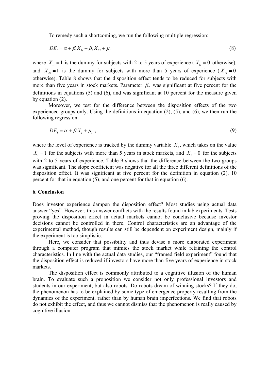To remedy such a shortcoming, we run the following multiple regression:

$$
DE_i = \alpha + \beta_1 X_{1i} + \beta_2 X_{2i} + \mu_i \tag{8}
$$

where  $X_{1i} = 1$  is the dummy for subjects with 2 to 5 years of experience ( $X_{1i} = 0$  otherwise), and  $X_{2i} = 1$  is the dummy for subjects with more than 5 years of experience  $(X_{2i} = 0$ otherwise). Table 8 shows that the disposition effect tends to be reduced for subjects with more than five years in stock markets. Parameter  $\beta_2$  was significant at five percent for the definitions in equations (5) and (6), and was significant at 10 percent for the measure given by equation  $(2)$ .

 Moreover, we test for the difference between the disposition effects of the two experienced groups only. Using the definitions in equation (2), (5), and (6), we then run the following regression:

$$
DE_i = \alpha + \beta X_i + \mu_i \tag{9}
$$

where the level of experience is tracked by the dummy variable  $X_i$ , which takes on the value  $X_i = 1$  for the subjects with more than 5 years in stock markets, and  $X_i = 0$  for the subjects with 2 to 5 years of experience. Table 9 shows that the difference between the two groups was significant. The slope coefficient was negative for all the three different definitions of the disposition effect. It was significant at five percent for the definition in equation (2), 10 percent for that in equation (5), and one percent for that in equation (6).

#### **6. Conclusion**

Does investor experience dampen the disposition effect? Most studies using actual data answer "yes". However, this answer conflicts with the results found in lab experiments. Tests proving the disposition effect in actual markets cannot be conclusive because investor decisions cannot be controlled in there. Control characteristics are an advantage of the experimental method, though results can still be dependent on experiment design, mainly if the experiment is too simplistic.

 Here, we consider that possibility and thus devise a more elaborated experiment through a computer program that mimics the stock market while retaining the control characteristics. In line with the actual data studies, our "framed field experiment" found that the disposition effect is reduced if investors have more than five years of experience in stock markets.

The disposition effect is commonly attributed to a cognitive illusion of the human brain. To evaluate such a proposition we consider not only professional investors and students in our experiment, but also robots. Do robots dream of winning stocks? If they do, the phenomenon has to be explained by some type of emergence property resulting from the dynamics of the experiment, rather than by human brain imperfections. We find that robots do not exhibit the effect, and thus we cannot dismiss that the phenomenon is really caused by cognitive illusion.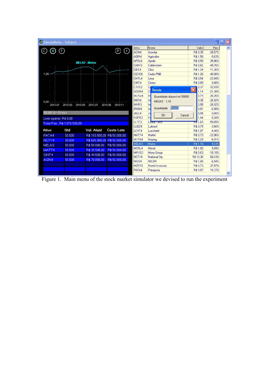| <b>Al SimulaBolsa</b> - Subject |                               |                              |                   |                   |                                   |                                 | н                  | ller                     |
|---------------------------------|-------------------------------|------------------------------|-------------------|-------------------|-----------------------------------|---------------------------------|--------------------|--------------------------|
|                                 |                               |                              |                   | Ativo             | Nome                              | Valor                           | Perc               | $\overline{\phantom{a}}$ |
|                                 | の                             |                              | P)<br>(∑          | ACIN4             | Acindar                           | R\$ 0.35                        | $-28.57%$          |                          |
|                                 |                               |                              |                   | AGRI4             | Agricultor                        | R\$1,58                         | $-0.63%$           |                          |
|                                 |                               | <b>MELN3 - Melon</b>         |                   | APOL6             | <b>Apollo</b>                     | R\$ 0,50                        | $-35.06%$          |                          |
|                                 |                               |                              |                   | CABV3             | Cablevision                       | R\$ 0.62                        | $-48.76%$          |                          |
|                                 |                               |                              |                   | CBIS4             | <b>Cibis</b>                      | R\$1,34                         | $-11,26%$          |                          |
| $1,00 -$                        |                               |                              |                   | CED <sub>06</sub> | Cedro PNB                         | R\$1,26                         | 40,00%             |                          |
|                                 |                               |                              |                   | CMTL4             | Lima                              | R\$ 0.54                        | $-23.94%$          |                          |
|                                 |                               |                              |                   | CINT4             | Cintac                            | R\$ 0,89                        | 0.00%              |                          |
|                                 |                               |                              |                   | CTXS3             | Ci<br>Venda                       | 0,37<br>$\overline{\mathsf{x}}$ | $-33,93%$          |                          |
|                                 |                               |                              |                   | GCON4             | C.                                | 1,14                            | $-21,38%$          |                          |
|                                 |                               |                              |                   | HLYW4             | н<br>Quantidade disponível: 50000 | 0.73                            | $-26,26%$          |                          |
| $0.00 - r$                      |                               |                              |                   | INF <sub>04</sub> | In<br>MELN3 1.16                  | 0.38                            | $-26.92%$          |                          |
| 2010.01                         | 2010.03<br>2010.05            | 2010.07<br>2010.09           | 2010.11           | INVR3             | In<br>50000                       | 0.95                            | $-26.92%$          |                          |
| 00:00:16 - 5 <sup>°</sup> trim  |                               |                              |                   | <b>IRON4</b>      | Quantidade<br>Ird                 | 0,81                            | $-6,90%$           |                          |
|                                 |                               |                              |                   | JBLC4             | Ja<br><b>OK</b><br>Cancel         | 0.98                            | 0.00%              |                          |
| Liver operar: R\$ 0,00          |                               |                              |                   | KOP03             | K                                 | 1.44                            | $-8.28%$           |                          |
|                                 | Total Patr.: R\$ 1.076,500.00 |                              |                   | LLTC3             | <b>Linear recon</b>               | <b>FT\$</b> 1,63                | -59,65%            |                          |
| Ativo                           | Qtd                           | Val. Atual                   | <b>Custo Lote</b> | LUBZ4             | Lubrizol                          | R\$ 0.79                        | $-3.66%$           |                          |
|                                 |                               |                              |                   | LCHT4             | Lucchetti                         | R\$1,07                         | $-4.46%$           |                          |
| PATA4                           | 50,000                        | R\$ 193,500,00 R\$ 50,000,00 |                   | MATT4             | Mattel                            | R\$ 0.73                        | $-23,96%$          |                          |
| NCTY4                           | 50,000                        | R\$ 665,000.00 R\$ 50,000.00 |                   | MYTG4<br>MELN3    | Maytag                            | R\$ 2.29                        | $-6.91%$           |                          |
| MELN3                           | 50,000                        | R\$58,000.00                 | R\$50,000.00      |                   | Melon                             | R\$1,16                         | 9.43%              |                          |
| MATT4                           | 50,000                        | R\$36,500.00                 | R\$ 50,000.00     | MCRL4<br>MNYG3    | Micrel<br>Mony Group              | R\$1.00<br>R\$ 0.63             | 9,89%<br>$-18.18%$ |                          |
| CINT4                           | 50,000                        | R\$44,500,00                 | R\$50,000.00      | NCTY4             | <b>National City</b>              | R\$13,30                        | 60,43%             |                          |
| AGRI4                           | 50,000                        | R\$ 79,000.00                | R\$50,000.00      | NICO4             | <b>NICOR</b>                      | R\$1,00                         | $-6.54%$           |                          |
|                                 |                               |                              |                   | NORT6             | Nortel Inversora                  | R\$ 0,73                        | $-37,07%$          |                          |
|                                 |                               |                              |                   | PATA4             | Patagonia                         | R\$ 3,87                        | 16,22%             |                          |
|                                 |                               |                              |                   |                   |                                   |                                 |                    | Y                        |

Figure 1. Main menu of the stock market simulator we devised to run the experiment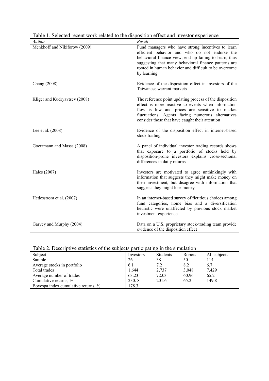| radio 1. Detected recent work related to the disposition errect and investor experience<br>Author | Result                                                                                                                                                                                                                                                                                       |
|---------------------------------------------------------------------------------------------------|----------------------------------------------------------------------------------------------------------------------------------------------------------------------------------------------------------------------------------------------------------------------------------------------|
| Menkhoff and Nikiforow (2009)                                                                     | Fund managers who have strong incentives to learn<br>efficient behavior and who do not endorse the<br>behavioral finance view, end up failing to learn, thus<br>suggesting that many behavioral finance patterns are<br>rooted in human behavior and difficult to be overcome<br>by learning |
| Chang (2008)                                                                                      | Evidence of the disposition effect in investors of the<br>Taiwanese warrant markets                                                                                                                                                                                                          |
| Kliger and Kudryavtsev (2008)                                                                     | The reference point updating process of the disposition<br>effect is more reactive to events when information<br>flow is low and prices are sensitive to market<br>fluctuations. Agents facing numerous alternatives<br>consider those that have caught their attention                      |
| Lee et al. $(2008)$                                                                               | Evidence of the disposition effect in internet-based<br>stock trading                                                                                                                                                                                                                        |
| Goetzmann and Massa (2008)                                                                        | A panel of individual investor trading records shows<br>that exposure to a portfolio of stocks held by<br>disposition-prone investors explains cross-sectional<br>differences in daily returns                                                                                               |
| Hales (2007)                                                                                      | Investors are motivated to agree unthinkingly with<br>information that suggests they might make money on<br>their investment, but disagree with information that<br>suggests they might lose money                                                                                           |
| Hedesstrom et al. (2007)                                                                          | In an internet-based survey of fictitious choices among<br>fund categories, home bias and a diversification<br>heuristic were unaffected by previous stock market<br>investment experience                                                                                                   |
| Garvey and Murphy (2004)                                                                          | Data on a U.S. proprietary stock-trading team provide<br>evidence of the disposition effect                                                                                                                                                                                                  |

Table 1. Selected recent work related to the disposition effect and investor experience

| Table 2. Descriptive statistics of the subjects participating in the simulation |  |  |  |
|---------------------------------------------------------------------------------|--|--|--|
|                                                                                 |  |  |  |
|                                                                                 |  |  |  |
|                                                                                 |  |  |  |
|                                                                                 |  |  |  |

| Subject                             | Investors | <b>Students</b> | Robots | All subjects |
|-------------------------------------|-----------|-----------------|--------|--------------|
| Sample                              | 26        | 38              | 50     | 114          |
| Average stocks in portfolio         | 6.1       | 7.2             | 8.2    | 6.7          |
| Total trades                        | 1,644     | 2,737           | 3,048  | 7,429        |
| Average number of trades            | 63.23     | 72.03           | 60.96  | 65.2         |
| Cumulative returns, %               | 230.8     | 201.6           | 65.2   | 149.8        |
| Bovespa index cumulative returns, % | 178.3     |                 |        |              |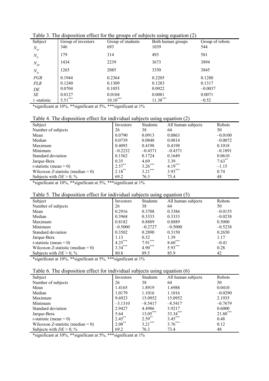| Subject<br>$N_{\rm gr}$ | Group of investors<br>346 | $C - C - C$<br>Group of students<br>693 | - - - - - -<br>$\eta$<br>Both human groups<br>1039 | Group of robots<br>544 |
|-------------------------|---------------------------|-----------------------------------------|----------------------------------------------------|------------------------|
| $N_{lr}$                | 179                       | 314                                     | 493                                                | 581                    |
| $N_{\mathrm{gp}}$       | 1434                      | 2239                                    | 3673                                               | 3894                   |
| $N_{lp}$                | 1265                      | 2085                                    | 3350                                               | 3845                   |
| PGR                     | 0.1944                    | 0.2364                                  | 0.2205                                             | 0.1280                 |
| <i>PLR</i>              | 0.1240                    | 0.1309                                  | 0.1283                                             | 0.1317                 |
| DE                      | 0.0704                    | 0.1055                                  | 0.0922                                             | $-0.0037$              |
| SЕ                      | 0.0127                    | 0.0104                                  | 0.0081                                             | 0.0071                 |
| $t$ -statistic          | $5.51***$                 | $10.10***$                              | $11.38***$                                         | $-0.52$                |

Table 3. The disposition effect for the groups of subjects using equation (2)

|  | Table 4. The disposition effect for individual subjects using equation (2) |  |  |  |  |  |  |  |
|--|----------------------------------------------------------------------------|--|--|--|--|--|--|--|
|--|----------------------------------------------------------------------------|--|--|--|--|--|--|--|

| Subject                           | Investors | <b>Students</b> | All human subjects | Robots    |
|-----------------------------------|-----------|-----------------|--------------------|-----------|
| Number of subjects                | 26        | 38              | 64                 | 50        |
| Mean                              | 0.0790    | 0.0913          | 0.0863             | $-0.0100$ |
| Median                            | 0.0739    | 0.0848          | 0.0814             | $-0.0072$ |
| Maximum                           | 0.4093    | 0.4198          | 0.4198             | 0.1018    |
| Minimum                           | $-0.2232$ | $-0.4371$       | $-0.4371$          | $-0.1891$ |
| Standard deviation                | 0.1562    | 0.1724          | 0.1649             | 0.0610    |
| Jarque-Bera                       | 0.35      | 4.69            | 3.39               | $7.63***$ |
| <i>t</i> -statistic (mean = 0)    | $2.57***$ | $3.26***$       | $4.19***$          | $-1.15$   |
| Wilcoxon Z-statistic (median = 0) | $2.18***$ | $3.21***$       | $3.93***$          | 0.74      |
| Subjects with $DE > 0$ , %        | 69.2      | 76.3            | 73.4               | 48        |

\*significant at 10%, \*\*significant at 5%, \*\*\*significant at 1%

### Table 5. The disposition effect for individual subjects using equation (5)

| Subject                           | Investors | <b>Students</b> | All human subjects | Robots    |
|-----------------------------------|-----------|-----------------|--------------------|-----------|
| Number of subjects                | 26        | 38              | 64                 | 50        |
| Mean                              | 0.2916    | 0.3708          | 0.3386             | $-0.0155$ |
| Median                            | 0.3968    | 0.3333          | 0.3333             | $-0.0238$ |
| Maximum                           | 0.8182    | 0.8889          | 0.8889             | 0.5000    |
| Minimum                           | $-0.5000$ | $-0.2727$       | $-0.5000$          | $-0.5238$ |
| Standard deviation                | 0.3502    | 0.2890          | 0.3150             | 0.2650    |
| Jarque-Bera                       | 1.13      | 0.32            | 139                | 1.17      |
| <i>t</i> -statistic (mean = 0)    | $4.25***$ | $7.91***$       | $8.60***$          | $-0.41$   |
| Wilcoxon Z-statistic (median = 0) | $3.34***$ | $4.90***$       | $5.93***$          | 0.28      |
| Subjects with $DE > 0$ , %        | 80.8      | 89.5            | 85.9               | 42        |
|                                   |           |                 |                    |           |

\*significant at 10%, \*\*significant at 5%, \*\*\*significant at 1%

|  |  |  |  |  |  | Table 6. The disposition effect for individual subjects using equation (6) |  |
|--|--|--|--|--|--|----------------------------------------------------------------------------|--|
|  |  |  |  |  |  |                                                                            |  |
|  |  |  |  |  |  |                                                                            |  |

| Subject                           | Investors | <b>Students</b> | All human subjects | Robots     |
|-----------------------------------|-----------|-----------------|--------------------|------------|
| Number of subjects                | 26        | 38              | 64                 | 50         |
| Mean                              | 1.4165    | 1.8919          | 1.6988             | 0.0410     |
| Median                            | 1.0179    | 1.1016          | 1.1016             | $-0.0290$  |
| Maximum                           | 9.6923    | 15.0952         | 15.0952            | 2.1935     |
| Minimum                           | $-3.1310$ | $-8.5417$       | $-8.5417$          | $-0.7679$  |
| Standard deviation                | 2.9427    | 4.4986          | 3.9217             | 0.6000     |
| Jarque-Bera                       | 5.64      | $13.05***$      | $33.34***$         | $21.80***$ |
| <i>t</i> -statistic (mean = 0)    | $2.45***$ | $2.59***$       | $3.45***$          | 0.48       |
| Wilcoxon Z-statistic (median = 0) | $2.08***$ | $3.21***$       | $3.76***$          | 0.12       |
| Subjects with $DE > 0$ , %        | 69.2      | 76.3            | 73.4               | 48         |

\*significant at 10%, \*\*significant at 5%, \*\*\*significant at 1%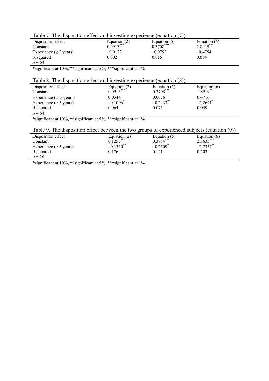| Table 7. The disposition effect and investing experience (equation (7)) |  |
|-------------------------------------------------------------------------|--|
|-------------------------------------------------------------------------|--|

| Table 7. The disposition criter and investing experience (equation (7))  |                |              |              |  |  |  |  |
|--------------------------------------------------------------------------|----------------|--------------|--------------|--|--|--|--|
| Disposition effect                                                       | Equation $(2)$ | Equation (5) | Equation (6) |  |  |  |  |
| Constant                                                                 | $0.0913***$    | $0.3708***$  | $1.8919***$  |  |  |  |  |
| Experience ( $\geq$ 2 years)                                             | $-0.0123$      | $-0.0792$    | $-0.4754$    |  |  |  |  |
| R squared                                                                | 0.002          | 0.015        | 0.004        |  |  |  |  |
| $n = 64$                                                                 |                |              |              |  |  |  |  |
| $*$ cionificant at $10\%$ **significant at $5\%$ ***significant at $1\%$ |                |              |              |  |  |  |  |

### Table 8. The disposition effect and investing experience (equation (8))

| Twore of the ship contour enters since in recently end                                |                               |              |                        |
|---------------------------------------------------------------------------------------|-------------------------------|--------------|------------------------|
| Disposition effect                                                                    | Equation $(2)$                | Equation (5) | Equation $(6)$         |
| Constant                                                                              | $0.0913***$                   | $0.3708***$  | $1.8919***$            |
| Experience $(2-5$ years)                                                              | 0.0344                        | 0.0076       | 0.4716                 |
| Experience $($ > 5 years)                                                             | $-0.1006$ <sup>*</sup>        | $-0.2433$ ** | $-2.2641$ <sup>*</sup> |
| R squared                                                                             | 0.064                         | 0.075        | 0.049                  |
| $n = 64$                                                                              |                               |              |                        |
| $\mathbf{u}$ . $\mathbf{v}$<br>1.100/44<br>$\cdot \sim$<br>* مەمەلەملە / ^ 10 مىل بىر | $\cdot$ $\sim$<br>$\sqrt{10}$ |              |                        |

\*significant at 10%, \*\*significant at 5%, \*\*\*significant at 1%

### Table 9. The disposition effect between the two groups of experienced subjects (equation (9))

| Disposition effect        | Equation $(2)$ | Equation (5)           | Equation $(6)$ |
|---------------------------|----------------|------------------------|----------------|
| Constant                  | $0.1257***$    | $0.3784***$            | $2.3635***$    |
| Experience $($ > 5 years) | $-0.1350$ **   | $-0.2509$ <sup>*</sup> | $-2.7357$ **   |
| R squared                 | 0.176          | 0.121                  | 0.203          |
| $n = 26$                  |                |                        |                |

\*significant at 10%, \*\*significant at 5%, \*\*\*significant at 1%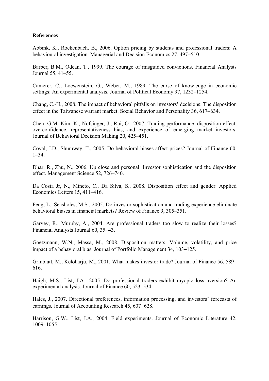#### **References**

Abbink, K., Rockenbach, B., 2006. Option pricing by students and professional traders: A behavioural investigation. Managerial and Decision Economics 27, 497−510.

Barber, B.M., Odean, T., 1999. The courage of misguided convictions. Financial Analysts Journal 55, 41–55.

Camerer, C., Loewenstein, G., Weber, M., 1989. The curse of knowledge in economic settings: An experimental analysis. Journal of Political Economy 97, 1232–1254.

Chang, C.-H., 2008. The impact of behavioral pitfalls on investors' decisions: The disposition effect in the Taiwanese warrant market. Social Behavior and Personality 36, 617−634.

Chen, G.M, Kim, K., Nofsinger, J., Rui, O., 2007. Trading performance, disposition effect, overconfidence, representativeness bias, and experience of emerging market investors. Journal of Behavioral Decision Making 20, 425–451.

Coval, J.D., Shumway, T., 2005. Do behavioral biases affect prices? Journal of Finance 60, 1–34.

Dhar, R., Zhu, N., 2006. Up close and personal: Investor sophistication and the disposition effect. Management Science 52, 726–740.

Da Costa Jr, N., Mineto, C., Da Silva, S., 2008. Disposition effect and gender. Applied Economics Letters 15, 411–416.

Feng, L., Seasholes, M.S., 2005. Do investor sophistication and trading experience eliminate behavioral biases in financial markets? Review of Finance 9, 305–351.

Garvey, R., Murphy, A., 2004. Are professional traders too slow to realize their losses? Financial Analysts Journal 60, 35−43.

Goetzmann, W.N., Massa, M., 2008. Disposition matters: Volume, volatility, and price impact of a behavioral bias. Journal of Portfolio Management 34, 103−125.

Grinblatt, M., Keloharju, M., 2001. What makes investor trade? Journal of Finance 56, 589– 616.

Haigh, M.S., List, J.A., 2005. Do professional traders exhibit myopic loss aversion? An experimental analysis. Journal of Finance 60, 523–534.

Hales, J., 2007. Directional preferences, information processing, and investors' forecasts of earnings. Journal of Accounting Research 45, 607−628.

Harrison, G.W., List, J.A., 2004. Field experiments. Journal of Economic Literature 42, 1009–1055.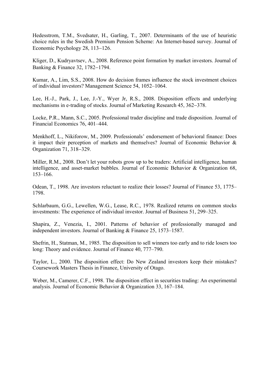Hedesstrom, T.M., Svedsater, H., Garling, T., 2007. Determinants of the use of heuristic choice rules in the Swedish Premium Pension Scheme: An Internet-based survey. Journal of Economic Psychology 28, 113−126.

Kliger, D., Kudryavtsev, A., 2008. Reference point formation by market investors. Journal of Banking & Finance 32, 1782−1794.

Kumar, A., Lim, S.S., 2008. How do decision frames influence the stock investment choices of individual investors? Management Science 54, 1052–1064.

Lee, H.-J., Park, J., Lee, J.-Y., Wyer Jr, R.S., 2008. Disposition effects and underlying mechanisms in e-trading of stocks. Journal of Marketing Research 45, 362−378.

Locke, P.R., Mann, S.C., 2005. Professional trader discipline and trade disposition. Journal of Financial Economics 76, 401–444.

Menkhoff, L., Nikiforow, M., 2009. Professionals' endorsement of behavioral finance: Does it impact their perception of markets and themselves? Journal of Economic Behavior & Organization 71, 318−329.

Miller, R.M., 2008. Don't let your robots grow up to be traders: Artificial intelligence, human intelligence, and asset-market bubbles. Journal of Economic Behavior & Organization 68, 153–166.

Odean, T., 1998. Are investors reluctant to realize their losses? Journal of Finance 53, 1775– 1798.

Schlarbaum, G.G., Lewellen, W.G., Lease, R.C., 1978. Realized returns on common stocks investments: The experience of individual investor. Journal of Business 51, 299–325.

Shapira, Z., Venezia, I., 2001. Patterns of behavior of professionally managed and independent investors. Journal of Banking & Finance 25, 1573–1587.

Shefrin, H., Statman, M., 1985. The disposition to sell winners too early and to ride losers too long: Theory and evidence. Journal of Finance 40, 777–790.

Taylor, L., 2000. The disposition effect: Do New Zealand investors keep their mistakes? Coursework Masters Thesis in Finance, University of Otago.

Weber, M., Camerer, C.F., 1998. The disposition effect in securities trading: An experimental analysis. Journal of Economic Behavior & Organization 33, 167–184.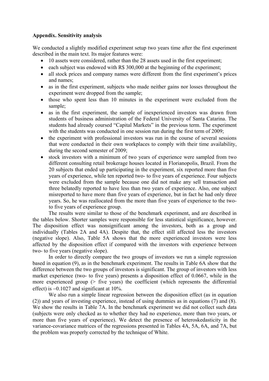#### **Appendix. Sensitivity analysis**

We conducted a slightly modified experiment setup two years time after the first experiment described in the main text. Its major features were:

- 10 assets were considered, rather than the 28 assets used in the first experiment;
- each subject was endowed with R\$ 300,000 at the beginning of the experiment;
- all stock prices and company names were different from the first experiment's prices and names;
- as in the first experiment, subjects who made neither gains nor losses throughout the experiment were dropped from the sample;
- those who spent less than 10 minutes in the experiment were excluded from the sample;
- as in the first experiment, the sample of inexperienced investors was drawn from students of business administration of the Federal University of Santa Catarina. The students had already coursed "Capital Markets" in the previous term. The experiment with the students was conducted in one session run during the first term of 2009;
- the experiment with professional investors was run in the course of several sessions that were conducted in their own workplaces to comply with their time availability, during the second semester of 2009;
- stock investors with a minimum of two years of experience were sampled from two different consulting retail brokerage houses located in Florianopolis, Brazil. From the 20 subjects that ended up participating in the experiment, six reported more than five years of experience, while ten reported two- to five years of experience. Four subjects were excluded from the sample because one did not make any sell transaction and three belatedly reported to have less than two years of experience. Also, one subject misreported to have more than five years of experience, but in fact he had only three years. So, he was reallocated from the more than five years of experience to the twoto five years of experience group.

 The results were similar to those of the benchmark experiment, and are described in the tables below. Shorter samples were responsible for less statistical significance, however. The disposition effect was nonsignificant among the investors, both as a group and individually (Tables 2A and 4A). Despite that, the effect still affected less the investors (negative slope). Also, Table 5A shows that the more experienced investors were less affected by the disposition effect if compared with the investors with experience between two- to five years (negative slope).

In order to directly compare the two groups of investors we run a simple regression based in equation (9), as in the benchmark experiment. The results in Table 6A show that the difference between the two groups of investors is significant. The group of investors with less market experience (two- to five years) presents a disposition effect of 0.0667, while in the more experienced group (> five years) the coefficient (which represents the differential effect) is −0.1027 and significant at 10%.

We also run a simple linear regression between the disposition effect (as in equation (2)) and years of investing experience, instead of using dummies as in equations (7) and (8). We show the results in Table 7A. In the benchmark experiment we did not collect such data (subjects were only checked as to whether they had no experience, more than two years, or more than five years of experience). We detect the presence of heteroskedasticity in the variance-covariance matrices of the regressions presented in Tables 4A, 5A, 6A, and 7A, but the problem was properly corrected by the technique of White.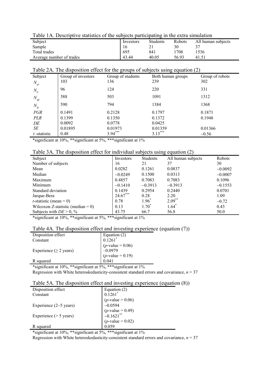| Table TA. Descriptive statistics of the subjects participating in the extra simulation |           |                 |        |                    |  |  |
|----------------------------------------------------------------------------------------|-----------|-----------------|--------|--------------------|--|--|
| Subject                                                                                | Investors | <b>Students</b> | Robots | All human subjects |  |  |
| Sample                                                                                 | 16        |                 | 30     |                    |  |  |
| Total trades                                                                           | 695       | 841             | 1708   | 1536               |  |  |
| Average number of trades                                                               | 43.44     | 40.05           | 56.93  | 41.51              |  |  |
|                                                                                        |           |                 |        |                    |  |  |

Table 1A. Descriptive statistics of the subjects participating in the extra simulation

| Table 2A. The disposition effect for the groups of subjects using equation (2) |                    |                   |                   |                 |  |  |
|--------------------------------------------------------------------------------|--------------------|-------------------|-------------------|-----------------|--|--|
| Subject                                                                        | Group of investors | Group of students | Both human groups | Group of robots |  |  |
| $N_{\rm gr}$                                                                   | 103                | 136               | 239               | 302             |  |  |
| $N_{lr}$                                                                       | 96                 | 124               | 220               | 331             |  |  |
| $N_{\mathrm{gp}}$                                                              | 588                | 503               | 1091              | 1312            |  |  |
| $N_{lp}$                                                                       | 590                | 794               | 1384              | 1368            |  |  |
| PGR                                                                            | 0.1491             | 0.2128            | 0.1797            | 0.1871          |  |  |
| <b>PLR</b>                                                                     | 0.1399             | 0.1350            | 0.1372            | 0.1948          |  |  |
| DE                                                                             | 0.0092             | 0.0778            | 0.0425            |                 |  |  |
| SE                                                                             | 0.01895            | 0.01973           | 0.01359           | 0.01366         |  |  |
| $t$ -statistic                                                                 | 0.48               | $3.94***$         | $3.13***$         | $-0.56$         |  |  |

| Table 3A. The disposition effect for individual subjects using equation (2) |  |  |  |  |  |  |
|-----------------------------------------------------------------------------|--|--|--|--|--|--|
|                                                                             |  |  |  |  |  |  |

| Twore $311$ . The disposition crieve for marvious subjects asing equation (2) |            |                  |                     |           |  |
|-------------------------------------------------------------------------------|------------|------------------|---------------------|-----------|--|
| Subject                                                                       | Investors  | <b>Students</b>  | All human subjects  | Robots    |  |
| Number of subjects                                                            | 16         | 21               | 37                  | 30        |  |
| Mean                                                                          | 0.0282     | 0.1261           | 0.0837              | $-0.0092$ |  |
| Median                                                                        | $-0.0249$  | 0.1500           | 0.0313              | $-0.0007$ |  |
| Maximum                                                                       | 0.4857     | 0.7083           | 0.7083              | 0.1096    |  |
| Minimum                                                                       | $-0.1410$  | $-0.3913$        | $-0.3913$           | $-0.1553$ |  |
| Standard deviation                                                            | 0.1439     | 0.2954           | 0.2440              | 0.0701    |  |
| Jarque-Bera                                                                   | $24.67***$ | 0.28             | 2.20                | 1.09      |  |
| <i>t</i> -statistic (mean = 0)                                                | 0.78       | $1.96^{\degree}$ | $2.09***$           | $-0.72$   |  |
| Wilcoxon Z-statistic (median = 0)                                             | 0.13       | $1.70^{*}$       | $1.64$ <sup>*</sup> | 0.43      |  |
| Subjects with $DE > 0$ , %                                                    | 43.75      | 66.7             | 56.8                | 50.0      |  |

\*significant at 10%, \*\*significant at 5%, \*\*\*significant at 1%

|  |  | Table 4A. The disposition effect and investing experience (equation (7)) |  |
|--|--|--------------------------------------------------------------------------|--|
|  |  |                                                                          |  |

| Table +A. The disposition criter and investing ex- |                                                                   |  |  |  |  |
|----------------------------------------------------|-------------------------------------------------------------------|--|--|--|--|
| Disposition effect                                 | Equation (2) $0.1261$ <sup>*</sup>                                |  |  |  |  |
| Constant                                           |                                                                   |  |  |  |  |
| Experience ( $\geq$ 2 years)                       | $(p\text{-value} = 0.06)$<br>-0.0979<br>$(p\text{-value} = 0.19)$ |  |  |  |  |
|                                                    |                                                                   |  |  |  |  |
| R squared                                          | 0.041                                                             |  |  |  |  |

\*significant at 10%, \*\*significant at 5%, \*\*\*significant at 1%

|  |  | Regression with White heteroskedasticity-consistent standard errors and covariance, $n = 37$ |  |  |  |  |  |
|--|--|----------------------------------------------------------------------------------------------|--|--|--|--|--|
|--|--|----------------------------------------------------------------------------------------------|--|--|--|--|--|

| Table 5A. The disposition effect and investing experience (equation (8)) |  |  |
|--------------------------------------------------------------------------|--|--|
|--------------------------------------------------------------------------|--|--|

| Disposition effect               | Equation $(2)$                                     |
|----------------------------------|----------------------------------------------------|
| Constant                         | 0.1261                                             |
|                                  | $(p$ -value = 0.06)                                |
| Experience $(2-5 \text{ years})$ | $-0.0594$                                          |
|                                  | $(p\text{-value} = 0.49)$<br>-0.1621 <sup>**</sup> |
| Experience $($ > 5 years)        |                                                    |
|                                  | $(p\text{-value} = 0.02)$                          |
| R squared                        | 0.059                                              |

\*significant at 10%, \*\*significant at 5%, \*\*\*significant at 1%

Regression with White heteroskedasticity-consistent standard errors and covariance,  $n = 37$